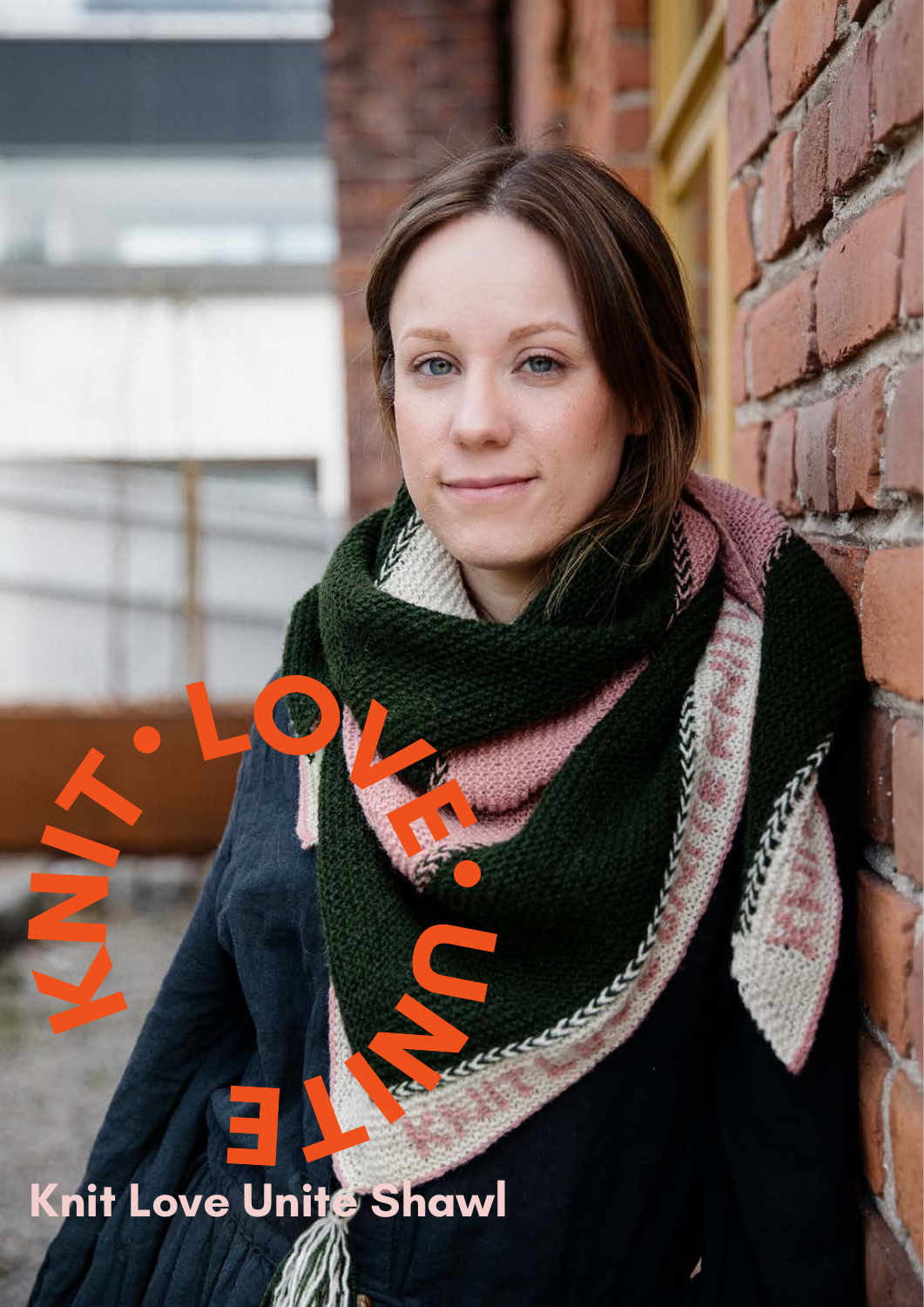Knit Love Unite Shawl

C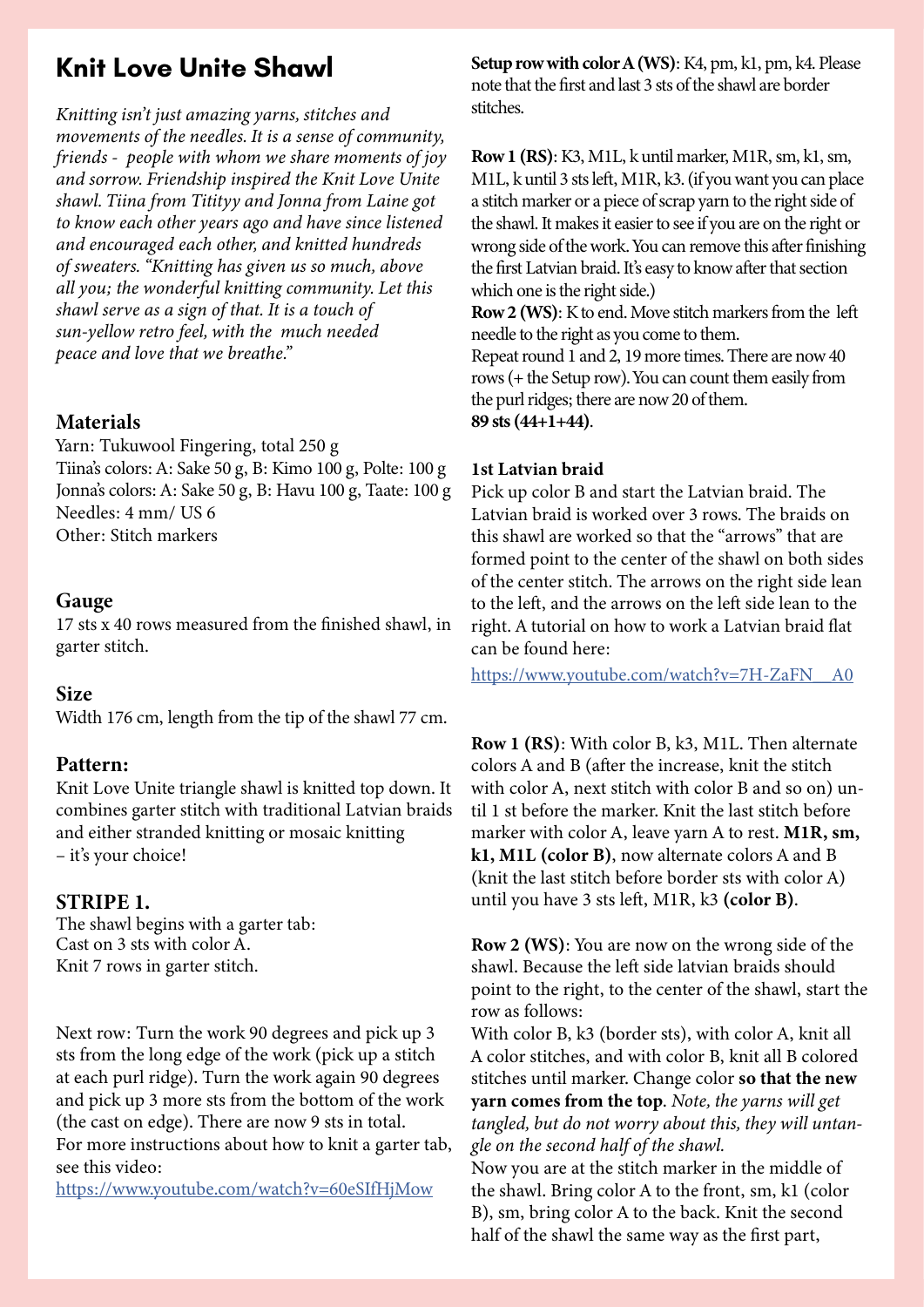# **Knit Love Unite Shawl**

*Knitting isn't just amazing yarns, stitches and movements of the needles. It is a sense of community, friends - people with whom we share moments of joy and sorrow. Friendship inspired the Knit Love Unite shawl. Tiina from Titityy and Jonna from Laine got to know each other years ago and have since listened and encouraged each other, and knitted hundreds of sweaters. "Knitting has given us so much, above all you; the wonderful knitting community. Let this shawl serve as a sign of that. It is a touch of sun-yellow retro feel, with the much needed peace and love that we breathe."*

# Materials

Yarn: Tukuwool Fingering, total 250 g Tiina's colors: A: Sake 50 g, B: Kimo 100 g, Polte: 100 g Jonna's colors: A: Sake 50 g, B: Havu 100 g, Taate: 100 g Needles: 4 mm/ US 6 Other: Stitch markers

# Gauge

17 sts x 40 rows measured from the finished shawl, in garter stitch.

# Size

Width 176 cm, length from the tip of the shawl 77 cm.

# Pattern:

Knit Love Unite triangle shawl is knitted top down. It combines garter stitch with traditional Latvian braids and either stranded knitting or mosaic knitting – it's your choice!

# STRIPE 1.

The shawl begins with a garter tab: Cast on 3 sts with color A. Knit 7 rows in garter stitch.

Next row: Turn the work 90 degrees and pick up 3 sts from the long edge of the work (pick up a stitch at each purl ridge). Turn the work again 90 degrees and pick up 3 more sts from the bottom of the work (the cast on edge). There are now 9 sts in total. For more instructions about how to knit a garter tab, see this video:

https://www.youtube.com/watch?v=60eSIfHjMow

Setup row with color A (WS): K4, pm, k1, pm, k4. Please note that the first and last 3 sts of the shawl are border stitches.

Row 1 (RS): K3, M1L, k until marker, M1R, sm, k1, sm, M1L, k until 3 sts left, M1R, k3. (if you want you can place a stitch marker or a piece of scrap yarn to the right side of the shawl. It makes it easier to see if you are on the right or wrong side of the work. You can remove this after finishing the first Latvian braid. It's easy to know after that section which one is the right side.)

Row 2 (WS): K to end. Move stitch markers from the left needle to the right as you come to them.

Repeat round 1 and 2, 19 more times. There are now 40 rows (+ the Setup row). You can count them easily from the purl ridges; there are now 20 of them.

89 sts (44+1+44).

### 1st Latvian braid

Pick up color B and start the Latvian braid. The Latvian braid is worked over 3 rows. The braids on this shawl are worked so that the "arrows" that are formed point to the center of the shawl on both sides of the center stitch. The arrows on the right side lean to the left, and the arrows on the left side lean to the right. A tutorial on how to work a Latvian braid flat can be found here:

https://www.youtube.com/watch?v=7H-ZaFN\_\_A0

Row 1 (RS): With color B, k3, M1L. Then alternate colors A and B (after the increase, knit the stitch with color A, next stitch with color B and so on) until 1 st before the marker. Knit the last stitch before marker with color A, leave yarn A to rest. M1R, sm, k1, M1L (color B), now alternate colors A and B (knit the last stitch before border sts with color A) until you have 3 sts left, M1R, k3 (color B).

Row 2 (WS): You are now on the wrong side of the shawl. Because the left side latvian braids should point to the right, to the center of the shawl, start the row as follows:

With color B, k3 (border sts), with color A, knit all A color stitches, and with color B, knit all B colored stitches until marker. Change color so that the new yarn comes from the top. *Note, the yarns will get tangled, but do not worry about this, they will untangle on the second half of the shawl.* 

Now you are at the stitch marker in the middle of the shawl. Bring color A to the front, sm, k1 (color B), sm, bring color A to the back. Knit the second half of the shawl the same way as the first part,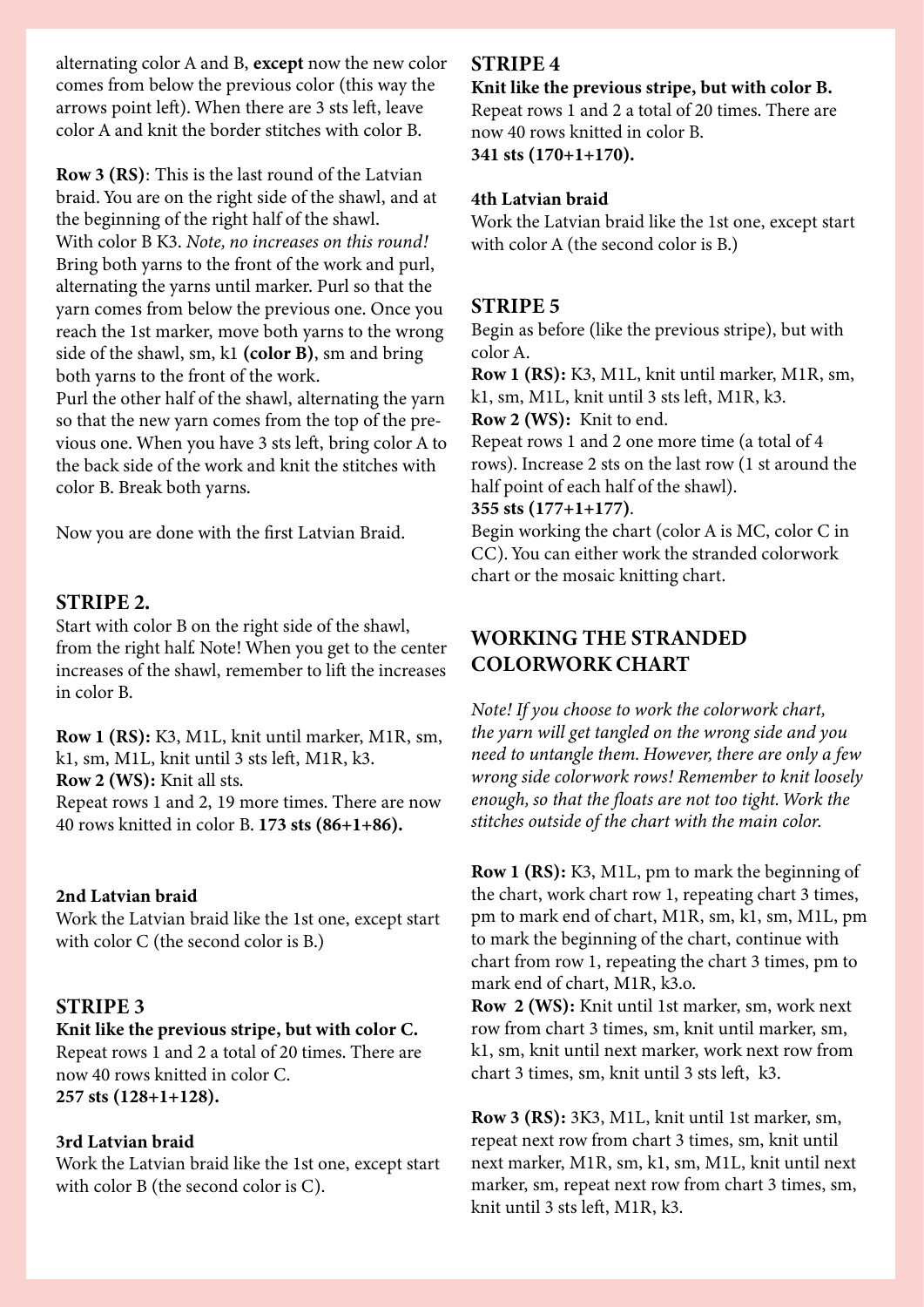alternating color A and B, except now the new color comes from below the previous color (this way the arrows point left). When there are 3 sts left, leave color A and knit the border stitches with color B.

Row 3 (RS): This is the last round of the Latvian braid. You are on the right side of the shawl, and at the beginning of the right half of the shawl. With color B K3. *Note, no increases on this round!*  Bring both yarns to the front of the work and purl, alternating the yarns until marker. Purl so that the yarn comes from below the previous one. Once you reach the 1st marker, move both yarns to the wrong side of the shawl, sm, k1 (color B), sm and bring both yarns to the front of the work.

Purl the other half of the shawl, alternating the yarn so that the new yarn comes from the top of the previous one. When you have 3 sts left, bring color A to the back side of the work and knit the stitches with color B. Break both yarns.

Now you are done with the first Latvian Braid.

### STRIPE 2.

Start with color B on the right side of the shawl, from the right half. Note! When you get to the center increases of the shawl, remember to lift the increases in color B.

Row 1 (RS): K3, M1L, knit until marker, M1R, sm, k1, sm, M1L, knit until 3 sts left, M1R, k3. Row 2 (WS): Knit all sts. Repeat rows 1 and 2, 19 more times. There are now 40 rows knitted in color B. 173 sts (86+1+86).

### 2nd Latvian braid

Work the Latvian braid like the 1st one, except start with color C (the second color is B.)

# STRIPE 3

Knit like the previous stripe, but with color C. Repeat rows 1 and 2 a total of 20 times. There are now 40 rows knitted in color C. 257 sts (128+1+128).

### 3rd Latvian braid

Work the Latvian braid like the 1st one, except start with color B (the second color is C).

### STRIPE 4

# Knit like the previous stripe, but with color B.

Repeat rows 1 and 2 a total of 20 times. There are now 40 rows knitted in color B. 341 sts (170+1+170).

### 4th Latvian braid

Work the Latvian braid like the 1st one, except start with color A (the second color is B.)

### STRIPE 5

Begin as before (like the previous stripe), but with color A.

Row 1 (RS): K3, M1L, knit until marker, M1R, sm, k1, sm, M1L, knit until 3 sts left, M1R, k3.

Row 2 (WS): Knit to end.

Repeat rows 1 and 2 one more time (a total of 4 rows). Increase 2 sts on the last row (1 st around the half point of each half of the shawl).

### 355 sts (177+1+177).

Begin working the chart (color A is MC, color C in CC). You can either work the stranded colorwork chart or the mosaic knitting chart.

# WORKING THE STRANDED COLORWORK CHART

*Note! If you choose to work the colorwork chart, the yarn will get tangled on the wrong side and you need to untangle them. However, there are only a few wrong side colorwork rows! Remember to knit loosely enough, so that the floats are not too tight. Work the stitches outside of the chart with the main color.* 

Row 1 (RS): K3, M1L, pm to mark the beginning of the chart, work chart row 1, repeating chart 3 times, pm to mark end of chart, M1R, sm, k1, sm, M1L, pm to mark the beginning of the chart, continue with chart from row 1, repeating the chart 3 times, pm to mark end of chart, M1R, k3.o.

Row 2 (WS): Knit until 1st marker, sm, work next row from chart 3 times, sm, knit until marker, sm, k1, sm, knit until next marker, work next row from chart 3 times, sm, knit until 3 sts left, k3.

Row 3 (RS): 3K3, M1L, knit until 1st marker, sm, repeat next row from chart 3 times, sm, knit until next marker, M1R, sm, k1, sm, M1L, knit until next marker, sm, repeat next row from chart 3 times, sm, knit until 3 sts left, M1R, k3.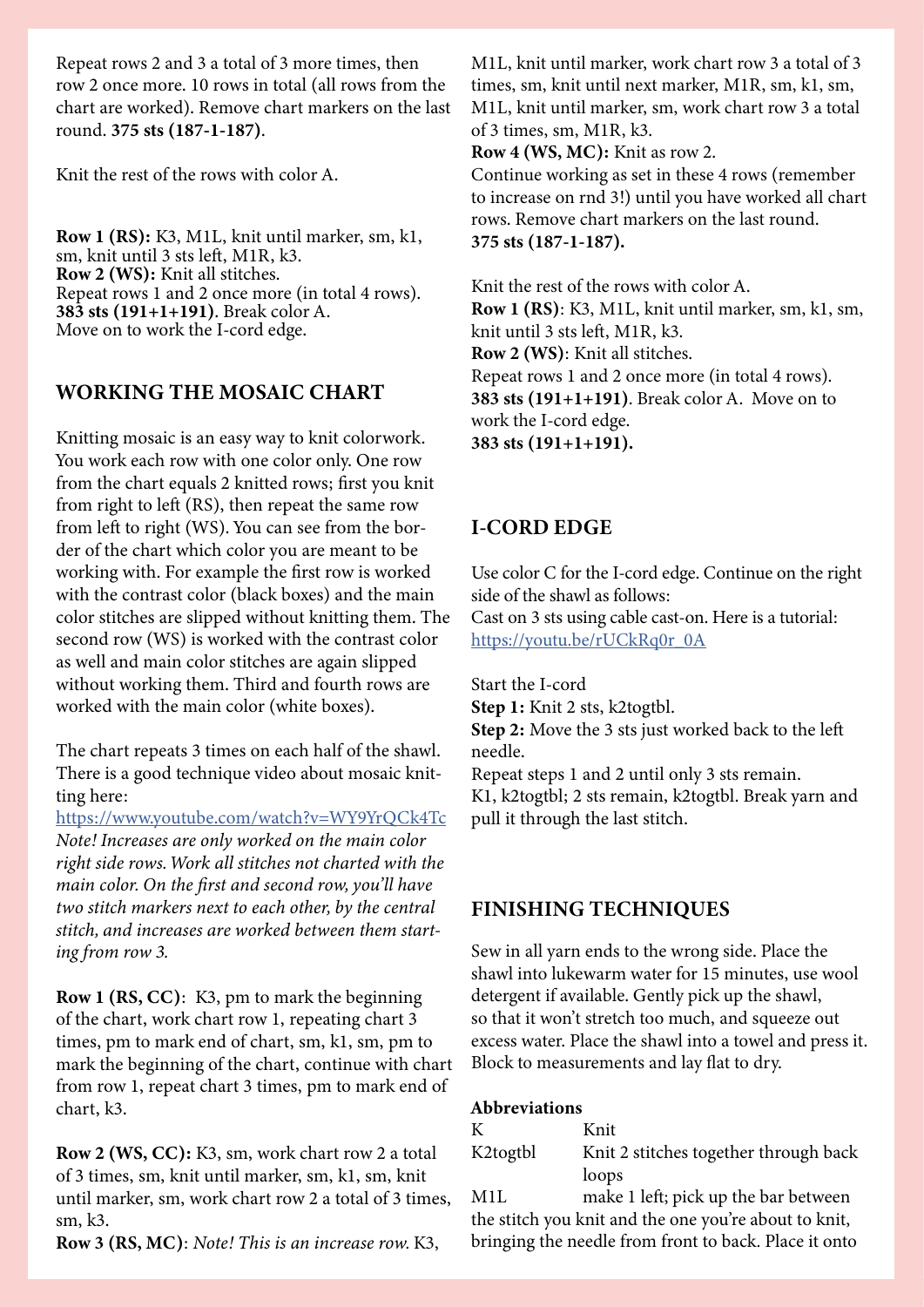Repeat rows 2 and 3 a total of 3 more times, then row 2 once more. 10 rows in total (all rows from the chart are worked). Remove chart markers on the last round. 375 sts (187-1-187).

Knit the rest of the rows with color A.

Row 1 (RS): K3, M1L, knit until marker, sm, k1, sm, knit until 3 sts left, M1R, k3. Row 2 (WS): Knit all stitches. Repeat rows 1 and 2 once more (in total 4 rows). 383 sts (191+1+191). Break color A. Move on to work the I-cord edge.

# WORKING THE MOSAIC CHART

Knitting mosaic is an easy way to knit colorwork. You work each row with one color only. One row from the chart equals 2 knitted rows; first you knit from right to left (RS), then repeat the same row from left to right (WS). You can see from the border of the chart which color you are meant to be working with. For example the first row is worked with the contrast color (black boxes) and the main color stitches are slipped without knitting them. The second row (WS) is worked with the contrast color as well and main color stitches are again slipped without working them. Third and fourth rows are worked with the main color (white boxes).

The chart repeats 3 times on each half of the shawl. There is a good technique video about mosaic knitting here:

https://www.youtube.com/watch?v=WY9YrQCk4Tc *Note! Increases are only worked on the main color right side rows. Work all stitches not charted with the main color. On the first and second row, you'll have two stitch markers next to each other, by the central stitch, and increases are worked between them starting from row 3.*

Row 1 (RS, CC): K3, pm to mark the beginning of the chart, work chart row 1, repeating chart 3 times, pm to mark end of chart, sm, k1, sm, pm to mark the beginning of the chart, continue with chart from row 1, repeat chart 3 times, pm to mark end of chart, k3.

Row 2 (WS, CC): K3, sm, work chart row 2 a total of 3 times, sm, knit until marker, sm, k1, sm, knit until marker, sm, work chart row 2 a total of 3 times, sm, k3.

Row 3 (RS, MC): *Note! This is an increase row.* K3,

M1L, knit until marker, work chart row 3 a total of 3 times, sm, knit until next marker, M1R, sm, k1, sm, M1L, knit until marker, sm, work chart row 3 a total of 3 times, sm, M1R, k3.

Row 4 (WS, MC): Knit as row 2.

Continue working as set in these 4 rows (remember to increase on rnd 3!) until you have worked all chart rows. Remove chart markers on the last round. 375 sts (187-1-187).

Knit the rest of the rows with color A. Row 1 (RS): K3, M1L, knit until marker, sm, k1, sm, knit until 3 sts left, M1R, k3. Row 2 (WS): Knit all stitches. Repeat rows 1 and 2 once more (in total 4 rows). 383 sts (191+1+191). Break color A. Move on to work the I-cord edge. 383 sts (191+1+191).

# I-CORD EDGE

Use color C for the I-cord edge. Continue on the right side of the shawl as follows: Cast on 3 sts using cable cast-on. Here is a tutorial: https://youtu.be/rUCkRq0r\_0A

Start the I-cord Step 1: Knit 2 sts, k2togtbl.

Step 2: Move the 3 sts just worked back to the left needle.

Repeat steps 1 and 2 until only 3 sts remain. K1, k2togtbl; 2 sts remain, k2togtbl. Break yarn and pull it through the last stitch.

# FINISHING TECHNIQUES

Sew in all yarn ends to the wrong side. Place the shawl into lukewarm water for 15 minutes, use wool detergent if available. Gently pick up the shawl, so that it won't stretch too much, and squeeze out excess water. Place the shawl into a towel and press it. Block to measurements and lay flat to dry.

### Abbreviations

| К        | Knit                                  |
|----------|---------------------------------------|
| K2togtbl | Knit 2 stitches together through back |
|          | loops                                 |
| M1I      | make 1 left: pick up the bar between  |

M1L make 1 left; pick up the bar between the stitch you knit and the one you're about to knit, bringing the needle from front to back. Place it onto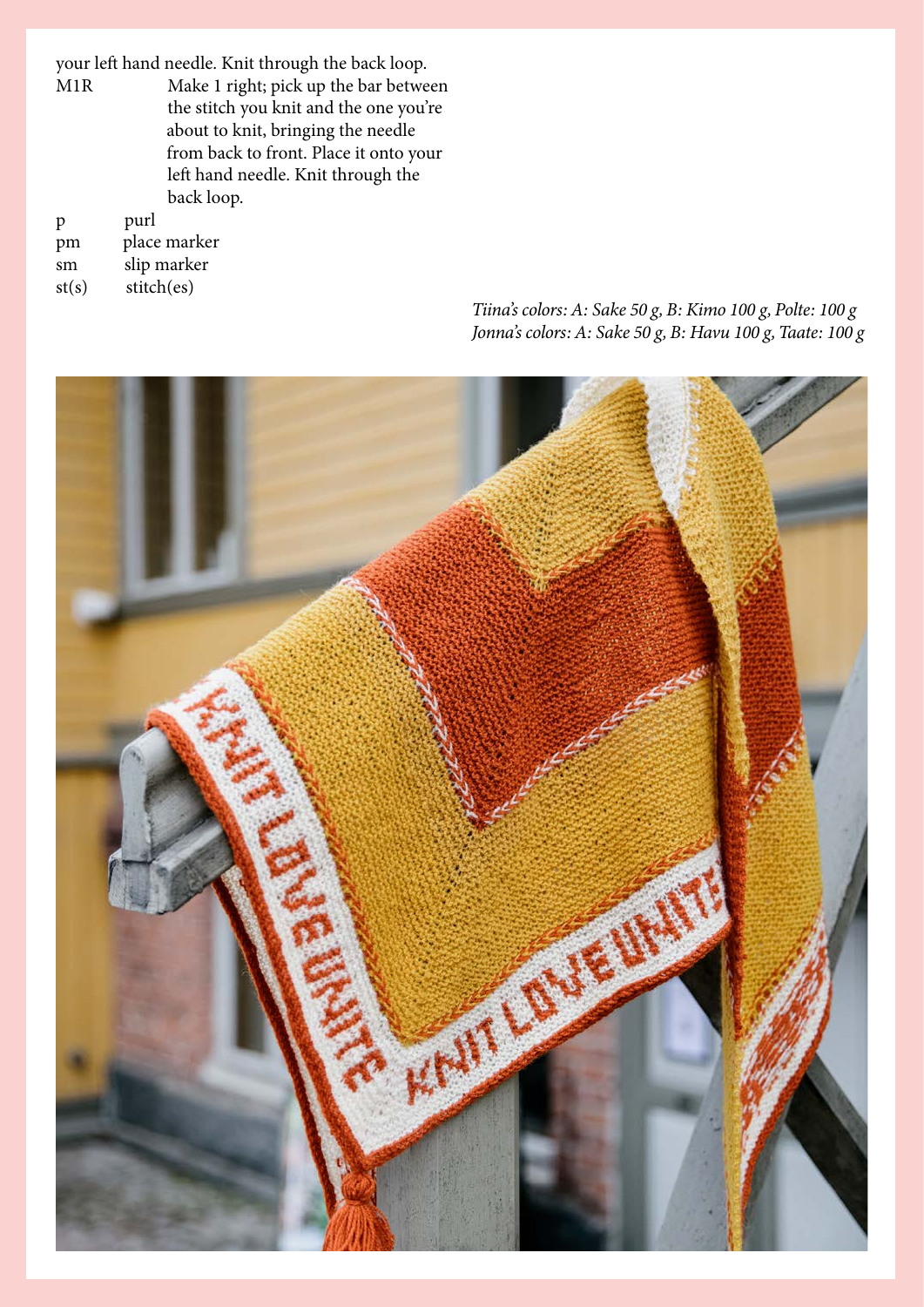your left hand needle. Knit through the back loop.<br>M1R Make 1 right; pick up the bar betwe

Make 1 right; pick up the bar between the stitch you knit and the one you're about to knit, bringing the needle from back to front. Place it onto your left hand needle. Knit through the back loop.

| p     | purl         |
|-------|--------------|
| pm    | place marker |
| sm    | slip marker  |
| st(s) | stitch(es)   |

**ANY ONE** 

*Tiina's colors: A: Sake 50 g, B: Kimo 100 g, Polte: 100 g Jonna's colors: A: Sake 50 g, B: Havu 100 g, Taate: 100 g*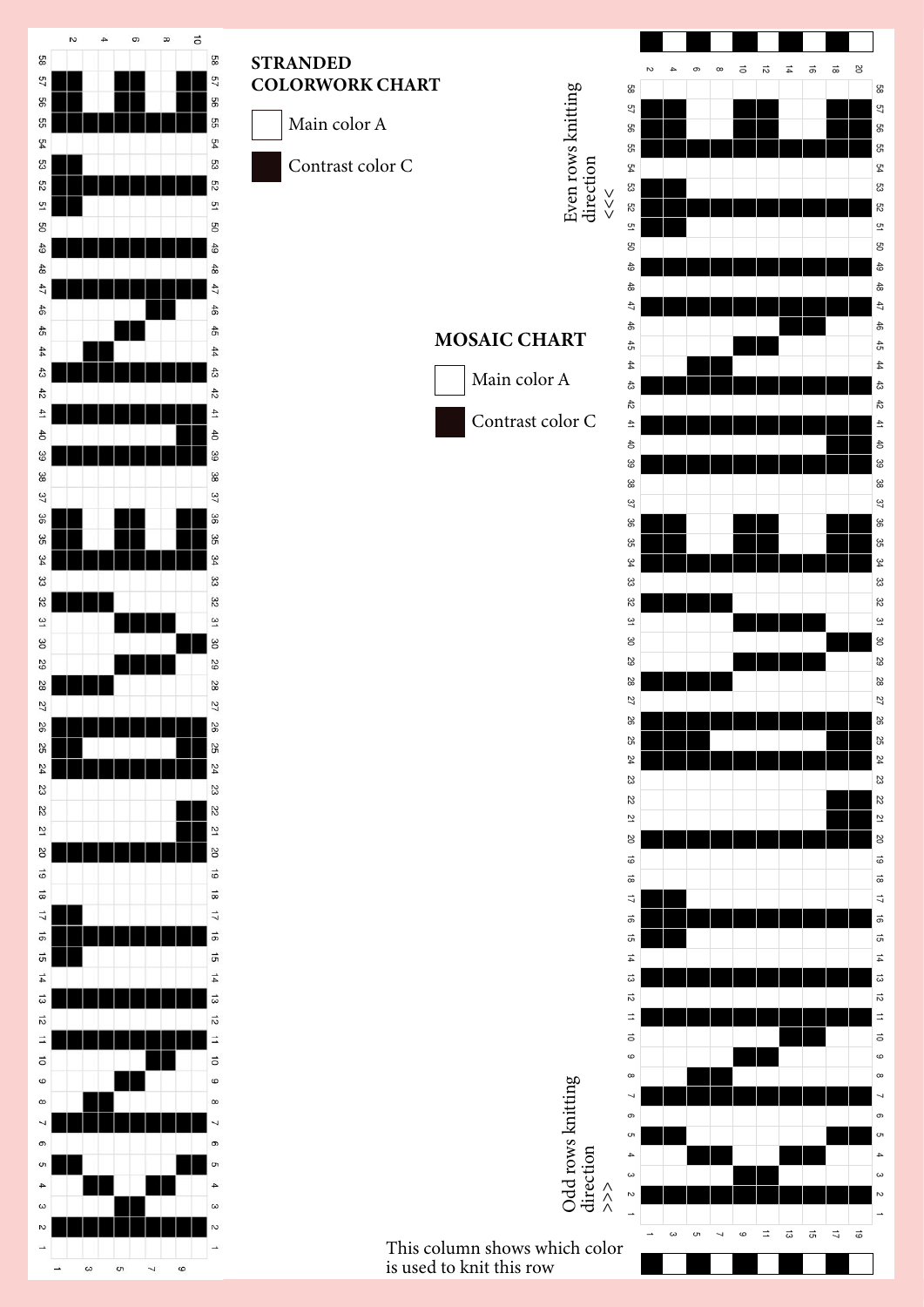

# **STRANDED** COLORWORK CHART

 $\overline{a}$ Main color A

kontrastiväri c

Contrast color C

# NOW NOW NOT CONVERT CONVERT CONVERT CONVERT CONVERT CONVERT CONVERT CONVERTING CONVERTING CONVERTING CONVERTING MOSAIC CHART



Main color A



8

<sub>8</sub>

 $\overline{\mathcal{L}}$ 

g

្ងៃ

 $\mathfrak{P}$ 

್ಟ

ξg

 $\overline{a}$ 

g

숛

 $\frac{4}{10}$ 

 $47$ 

 $\frac{4}{5}$ 

 $\ddot{\ddot{\sigma}}$ 

 $\overline{4}$ 

්ස

 $\frac{1}{6}$ 

 $\overline{4}$ 

 $\ddot{\epsilon}$ 

9.

-

 $\frac{37}{27}$ 

്ട്

್ದಿ

್ಲ

ಜ

 $\approx$ 

್ತ

ဧ

5,

5

 $\overline{\mathbf{z}}$ 

88

**g** 

 $\overline{z}$ 

ಜ

 $\overline{5}$ 

 $\overline{a}$ 

 $\overline{8}$ 

ಸ

 $\vec{\alpha}$ 

 $\frac{1}{2}$ 

 $\vec{a}$ 

 $\vec{a}$ 

 $\overline{4}$ 

್ದ

 $\vec{v}$ 

 $\equiv$ 

 $\overrightarrow{a}$ 

c

 $\alpha$ 

 $\overline{ }$ 

 $\sigma$ 

 $\epsilon$ 

 $\overline{4}$ 

 $\epsilon$ 

 $\overline{v}$ 

-

ಪ

 $\overrightarrow{z}$ 

 $\vec{q}$ 

 $\vec{\omega}$ 

 $\Rightarrow$ 

cc

 $\overline{\phantom{0}}$ 

G

 $\omega$ 

د

this column shows which color<br>is used to knit this row This column shows which color

Odd rows knitting